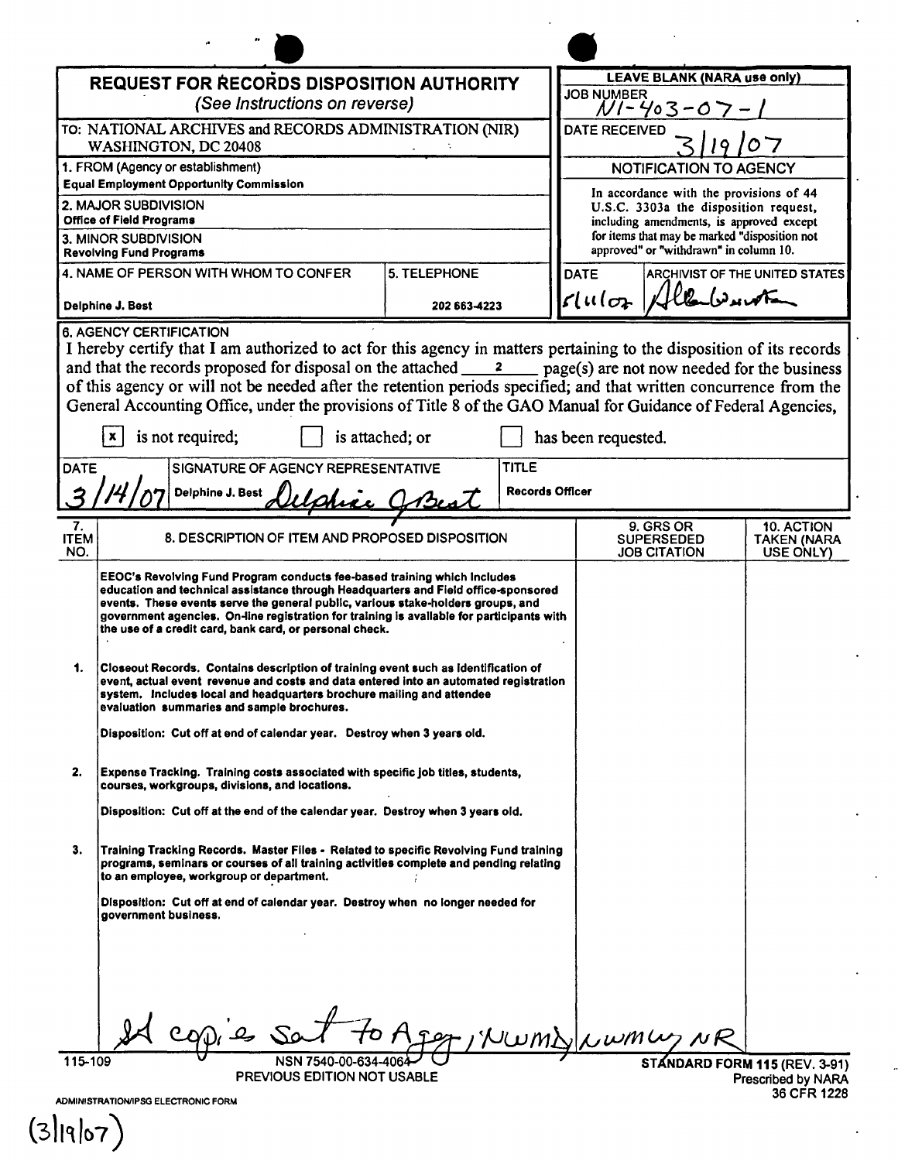| <b>REQUEST FOR RECORDS DISPOSITION AUTHORITY</b>                                                                                                                                                                                                                                                                                                                                                                                                                                                                                                                                                           |                                                                                                                                                                                                                                                                                                                                                                                                            |                        |                                        | <b>LEAVE BLANK (NARA use only)</b>                                                        |                                                |                                                      |  |
|------------------------------------------------------------------------------------------------------------------------------------------------------------------------------------------------------------------------------------------------------------------------------------------------------------------------------------------------------------------------------------------------------------------------------------------------------------------------------------------------------------------------------------------------------------------------------------------------------------|------------------------------------------------------------------------------------------------------------------------------------------------------------------------------------------------------------------------------------------------------------------------------------------------------------------------------------------------------------------------------------------------------------|------------------------|----------------------------------------|-------------------------------------------------------------------------------------------|------------------------------------------------|------------------------------------------------------|--|
| (See Instructions on reverse)                                                                                                                                                                                                                                                                                                                                                                                                                                                                                                                                                                              |                                                                                                                                                                                                                                                                                                                                                                                                            |                        | <b>JOB NUMBER</b><br>NI-403-0          |                                                                                           |                                                |                                                      |  |
|                                                                                                                                                                                                                                                                                                                                                                                                                                                                                                                                                                                                            | TO: NATIONAL ARCHIVES and RECORDS ADMINISTRATION (NIR)                                                                                                                                                                                                                                                                                                                                                     |                        |                                        | DATE RECEIVED                                                                             |                                                |                                                      |  |
| WASHINGTON, DC 20408                                                                                                                                                                                                                                                                                                                                                                                                                                                                                                                                                                                       |                                                                                                                                                                                                                                                                                                                                                                                                            |                        |                                        |                                                                                           |                                                |                                                      |  |
| 1. FROM (Agency or establishment)<br><b>Equal Employment Opportunity Commission</b>                                                                                                                                                                                                                                                                                                                                                                                                                                                                                                                        |                                                                                                                                                                                                                                                                                                                                                                                                            |                        |                                        | NOTIFICATION TO AGENCY                                                                    |                                                |                                                      |  |
| 2. MAJOR SUBDIVISION                                                                                                                                                                                                                                                                                                                                                                                                                                                                                                                                                                                       |                                                                                                                                                                                                                                                                                                                                                                                                            |                        |                                        | In accordance with the provisions of 44<br>U.S.C. 3303a the disposition request,          |                                                |                                                      |  |
| <b>Office of Field Programs</b>                                                                                                                                                                                                                                                                                                                                                                                                                                                                                                                                                                            |                                                                                                                                                                                                                                                                                                                                                                                                            |                        |                                        | including amendments, is approved except<br>for items that may be marked "disposition not |                                                |                                                      |  |
| 3. MINOR SUBDIVISION<br><b>Revolving Fund Programs</b>                                                                                                                                                                                                                                                                                                                                                                                                                                                                                                                                                     |                                                                                                                                                                                                                                                                                                                                                                                                            |                        | approved" or "withdrawn" in column 10. |                                                                                           |                                                |                                                      |  |
|                                                                                                                                                                                                                                                                                                                                                                                                                                                                                                                                                                                                            | 4. NAME OF PERSON WITH WHOM TO CONFER                                                                                                                                                                                                                                                                                                                                                                      | <b>5. TELEPHONE</b>    | <b>DATE</b>                            |                                                                                           |                                                | ARCHIVIST OF THE UNITED STATES                       |  |
| Delphine J. Best                                                                                                                                                                                                                                                                                                                                                                                                                                                                                                                                                                                           |                                                                                                                                                                                                                                                                                                                                                                                                            | 202 663 4223           |                                        | $\mathcal{L}$ uloz                                                                        |                                                |                                                      |  |
| <b>6. AGENCY CERTIFICATION</b><br>I hereby certify that I am authorized to act for this agency in matters pertaining to the disposition of its records<br>and that the records proposed for disposal on the attached $\frac{2}{\sqrt{2}}$ page(s) are not now needed for the business<br>of this agency or will not be needed after the retention periods specified; and that written concurrence from the<br>General Accounting Office, under the provisions of Title 8 of the GAO Manual for Guidance of Federal Agencies,<br>is not required;<br>is attached; or<br>$\mathbf{x}$<br>has been requested. |                                                                                                                                                                                                                                                                                                                                                                                                            |                        |                                        |                                                                                           |                                                |                                                      |  |
| <b>DATE</b><br>SIGNATURE OF AGENCY REPRESENTATIVE<br>TITLE                                                                                                                                                                                                                                                                                                                                                                                                                                                                                                                                                 |                                                                                                                                                                                                                                                                                                                                                                                                            |                        |                                        |                                                                                           |                                                |                                                      |  |
|                                                                                                                                                                                                                                                                                                                                                                                                                                                                                                                                                                                                            | Delphine J. Best                                                                                                                                                                                                                                                                                                                                                                                           | <b>Records Officer</b> |                                        |                                                                                           |                                                |                                                      |  |
| 7.<br><b>ITEM</b><br>NO.                                                                                                                                                                                                                                                                                                                                                                                                                                                                                                                                                                                   | 8. DESCRIPTION OF ITEM AND PROPOSED DISPOSITION                                                                                                                                                                                                                                                                                                                                                            |                        |                                        |                                                                                           | 9. GRS OR<br>SUPERSEDED<br><b>JOB CITATION</b> | <b>10. ACTION</b><br><b>TAKEN (NARA</b><br>USE ONLY) |  |
|                                                                                                                                                                                                                                                                                                                                                                                                                                                                                                                                                                                                            | EEOC's Revolving Fund Program conducts fee-based training which includes<br>education and technical assistance through Headquarters and Field office-sponsored<br>events. These events serve the general public, various stake-holders groups, and<br>government agencies. On-line registration for training is available for participants with<br>the use of a credit card, bank card, or personal check. |                        |                                        |                                                                                           |                                                |                                                      |  |
| 1.                                                                                                                                                                                                                                                                                                                                                                                                                                                                                                                                                                                                         | Closeout Records. Contains description of training event such as identification of<br>event, actual event revenue and costs and data entered into an automated registration<br>system. Includes local and headquarters brochure mailing and attendee<br>evaluation summaries and sample brochures.                                                                                                         |                        |                                        |                                                                                           |                                                |                                                      |  |
|                                                                                                                                                                                                                                                                                                                                                                                                                                                                                                                                                                                                            | Disposition: Cut off at end of calendar year. Destroy when 3 years old.                                                                                                                                                                                                                                                                                                                                    |                        |                                        |                                                                                           |                                                |                                                      |  |
| 2.                                                                                                                                                                                                                                                                                                                                                                                                                                                                                                                                                                                                         | Expense Tracking. Training costs associated with specific job titles, students,<br>courses, workgroups, divisions, and locations.                                                                                                                                                                                                                                                                          |                        |                                        |                                                                                           |                                                |                                                      |  |
|                                                                                                                                                                                                                                                                                                                                                                                                                                                                                                                                                                                                            | Disposition: Cut off at the end of the calendar year. Destroy when 3 years old.                                                                                                                                                                                                                                                                                                                            |                        |                                        |                                                                                           |                                                |                                                      |  |
| З.                                                                                                                                                                                                                                                                                                                                                                                                                                                                                                                                                                                                         | Training Tracking Records. Master Files - Related to specific Revolving Fund training<br>programs, seminars or courses of all training activities complete and pending relating<br>to an employee, workgroup or department.                                                                                                                                                                                |                        |                                        |                                                                                           |                                                |                                                      |  |
|                                                                                                                                                                                                                                                                                                                                                                                                                                                                                                                                                                                                            | Disposition: Cut off at end of calendar year. Destroy when no longer needed for<br>government business.                                                                                                                                                                                                                                                                                                    |                        |                                        |                                                                                           |                                                |                                                      |  |
|                                                                                                                                                                                                                                                                                                                                                                                                                                                                                                                                                                                                            |                                                                                                                                                                                                                                                                                                                                                                                                            |                        |                                        |                                                                                           |                                                |                                                      |  |
|                                                                                                                                                                                                                                                                                                                                                                                                                                                                                                                                                                                                            | NSN 7540-00-634                                                                                                                                                                                                                                                                                                                                                                                            |                        |                                        |                                                                                           |                                                |                                                      |  |
|                                                                                                                                                                                                                                                                                                                                                                                                                                                                                                                                                                                                            | 115-109<br>STANDARD FORM 115 (REV. 3-91)<br><b>PREVIOUS EDITION NOT USABLE</b><br>Prescribed by NARA                                                                                                                                                                                                                                                                                                       |                        |                                        |                                                                                           |                                                |                                                      |  |
|                                                                                                                                                                                                                                                                                                                                                                                                                                                                                                                                                                                                            | 36 CFR 1228<br>ADMINISTRATION/IPSG ELECTRONIC FORM                                                                                                                                                                                                                                                                                                                                                         |                        |                                        |                                                                                           |                                                |                                                      |  |